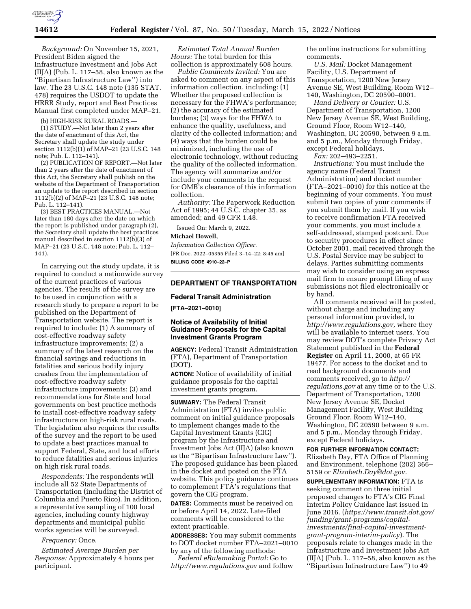

*Background:* On November 15, 2021, President Biden signed the Infrastructure Investment and Jobs Act (IIJA) (Pub. L. 117–58, also known as the ''Bipartisan Infrastructure Law'') into law. The 23 U.S.C. 148 note (135 STAT. 478) requires the USDOT to update the HRRR Study, report and Best Practices Manual first completed under MAP–21.

(b) HIGH-RISK RURAL ROADS.—

(1) STUDY.—Not later than 2 years after the date of enactment of this Act, the Secretary shall update the study under section 1112(b)(1) of MAP–21 (23 U.S.C. 148 note; Pub. L. 112–141).

(2) PUBLICATION OF REPORT.—Not later than 2 years after the date of enactment of this Act, the Secretary shall publish on the website of the Department of Transportation an update to the report described in section 1112(b)(2) of MAP–21 (23 U.S.C. 148 note; Pub. L. 112–141).

(3) BEST PRACTICES MANUAL.—Not later than 180 days after the date on which the report is published under paragraph (2), the Secretary shall update the best practices manual described in section  $1112(b)(3)$  of MAP–21 (23 U.S.C. 148 note; Pub. L. 112– 141).

In carrying out the study update, it is required to conduct a nationwide survey of the current practices of various agencies. The results of the survey are to be used in conjunction with a research study to prepare a report to be published on the Department of Transportation website. The report is required to include: (1) A summary of cost-effective roadway safety infrastructure improvements; (2) a summary of the latest research on the financial savings and reductions in fatalities and serious bodily injury crashes from the implementation of cost-effective roadway safety infrastructure improvements; (3) and recommendations for State and local governments on best practice methods to install cost-effective roadway safety infrastructure on high-risk rural roads. The legislation also requires the results of the survey and the report to be used to update a best practices manual to support Federal, State, and local efforts to reduce fatalities and serious injuries on high risk rural roads.

*Respondents:* The respondents will include all 52 State Departments of Transportation (including the District of Columbia and Puerto Rico). In addition, a representative sampling of 100 local agencies, including county highway departments and municipal public works agencies will be surveyed.

#### *Frequency:* Once.

*Estimated Average Burden per Response:* Approximately 4 hours per participant.

*Estimated Total Annual Burden Hours:* The total burden for this collection is approximately 608 hours.

*Public Comments Invited:* You are asked to comment on any aspect of this information collection, including: (1) Whether the proposed collection is necessary for the FHWA's performance; (2) the accuracy of the estimated burdens; (3) ways for the FHWA to enhance the quality, usefulness, and clarity of the collected information; and (4) ways that the burden could be minimized, including the use of electronic technology, without reducing the quality of the collected information. The agency will summarize and/or include your comments in the request for OMB's clearance of this information collection.

*Authority:* The Paperwork Reduction Act of 1995; 44 U.S.C. chapter 35, as amended; and 49 CFR 1.48.

Issued On: March 9, 2022.

### **Michael Howell,**

*Information Collection Officer.* 

[FR Doc. 2022–05355 Filed 3–14–22; 8:45 am] **BILLING CODE 4910–22–P** 

# **DEPARTMENT OF TRANSPORTATION**

## **Federal Transit Administration**

**[FTA–2021–0010]** 

## **Notice of Availability of Initial Guidance Proposals for the Capital Investment Grants Program**

**AGENCY:** Federal Transit Administration (FTA), Department of Transportation (DOT).

**ACTION:** Notice of availability of initial guidance proposals for the capital investment grants program.

**SUMMARY:** The Federal Transit Administration (FTA) invites public comment on initial guidance proposals to implement changes made to the Capital Investment Grants (CIG) program by the Infrastructure and Investment Jobs Act (IIJA) (also known as the ''Bipartisan Infrastructure Law''). The proposed guidance has been placed in the docket and posted on the FTA website. This policy guidance continues to complement FTA's regulations that govern the CIG program.

**DATES:** Comments must be received on or before April 14, 2022. Late-filed comments will be considered to the extent practicable.

**ADDRESSES:** You may submit comments to DOT docket number FTA–2021–0010 by any of the following methods:

*Federal eRulemaking Portal:* Go to *<http://www.regulations.gov>* and follow the online instructions for submitting comments.

*U.S. Mail:* Docket Management Facility, U.S. Department of Transportation, 1200 New Jersey Avenue SE, West Building, Room W12– 140, Washington, DC 20590–0001.

*Hand Delivery or Courier:* U.S. Department of Transportation, 1200 New Jersey Avenue SE, West Building, Ground Floor, Room W12–140, Washington, DC 20590, between 9 a.m. and 5 p.m., Monday through Friday, except Federal holidays.

*Fax:* 202–493–2251.

*Instructions:* You must include the agency name (Federal Transit Administration) and docket number (FTA–2021–0010) for this notice at the beginning of your comments. You must submit two copies of your comments if you submit them by mail. If you wish to receive confirmation FTA received your comments, you must include a self-addressed, stamped postcard. Due to security procedures in effect since October 2001, mail received through the U.S. Postal Service may be subject to delays. Parties submitting comments may wish to consider using an express mail firm to ensure prompt filing of any submissions not filed electronically or by hand.

All comments received will be posted, without charge and including any personal information provided, to *[http://www.regulations.gov,](http://www.regulations.gov)* where they will be available to internet users. You may review DOT's complete Privacy Act Statement published in the **Federal Register** on April 11, 2000, at 65 FR 19477. For access to the docket and to read background documents and comments received, go to *[http://](http://regulations.gov) [regulations.gov](http://regulations.gov)* at any time or to the U.S. Department of Transportation, 1200 New Jersey Avenue SE, Docket Management Facility, West Building Ground Floor, Room W12–140, Washington, DC 20590 between 9 a.m. and 5 p.m., Monday through Friday, except Federal holidays.

**FOR FURTHER INFORMATION CONTACT:**  Elizabeth Day, FTA Office of Planning and Environment, telephone (202) 366– 5159 or *[Elizabeth.Day@dot.gov.](mailto:Elizabeth.Day@dot.gov)* 

**SUPPLEMENTARY INFORMATION:** FTA is seeking comment on three initial proposed changes to FTA's CIG Final Interim Policy Guidance last issued in June 2016. (*[https://www.transit.dot.gov/](https://www.transit.dot.gov/funding/grant-programs/capital-investments/final-capital-investment-grant-program-interim-policy)  [funding/grant-programs/capital](https://www.transit.dot.gov/funding/grant-programs/capital-investments/final-capital-investment-grant-program-interim-policy)[investments/final-capital-investment](https://www.transit.dot.gov/funding/grant-programs/capital-investments/final-capital-investment-grant-program-interim-policy)[grant-program-interim-policy](https://www.transit.dot.gov/funding/grant-programs/capital-investments/final-capital-investment-grant-program-interim-policy)*). The proposals relate to changes made in the Infrastructure and Investment Jobs Act (IIJA) (Pub. L. 117–58, also known as the ''Bipartisan Infrastructure Law'') to 49